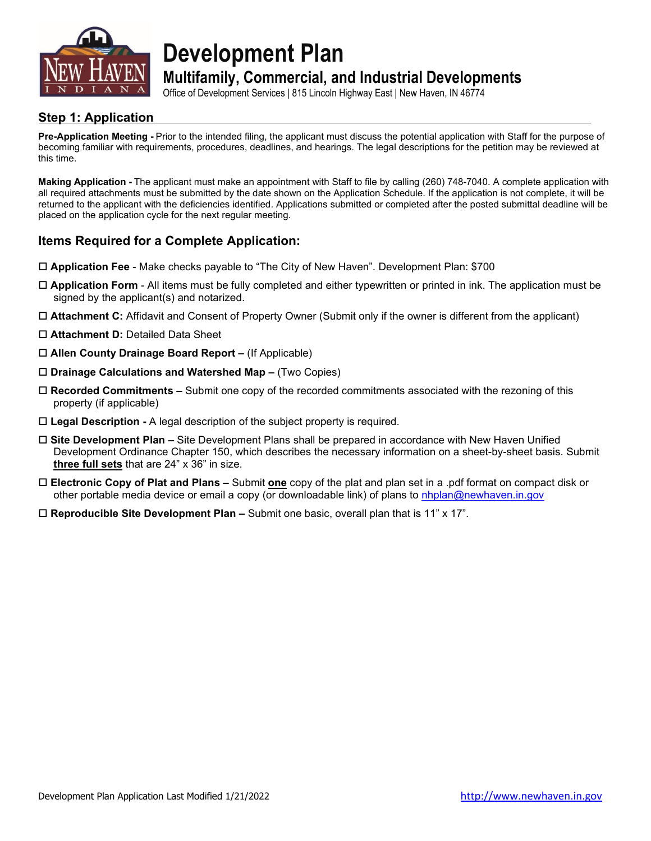

**Development Plan**

## **Multifamily, Commercial, and Industrial Developments**

Office of Development Services | 815 Lincoln Highway East | New Haven, IN 46774

### **Step 1: Application**

**Pre-Application Meeting -** Prior to the intended filing, the applicant must discuss the potential application with Staff for the purpose of becoming familiar with requirements, procedures, deadlines, and hearings. The legal descriptions for the petition may be reviewed at this time.

**Making Application -** The applicant must make an appointment with Staff to file by calling (260) 748-7040. A complete application with all required attachments must be submitted by the date shown on the Application Schedule. If the application is not complete, it will be returned to the applicant with the deficiencies identified. Applications submitted or completed after the posted submittal deadline will be placed on the application cycle for the next regular meeting.

### **Items Required for a Complete Application:**

- **Application Fee** Make checks payable to "The City of New Haven". Development Plan: \$700
- **Application Form** All items must be fully completed and either typewritten or printed in ink. The application must be signed by the applicant(s) and notarized.
- **Attachment C:** Affidavit and Consent of Property Owner (Submit only if the owner is different from the applicant)
- **Attachment D:** Detailed Data Sheet
- **Allen County Drainage Board Report –** (If Applicable)
- **Drainage Calculations and Watershed Map –** (Two Copies)
- **Recorded Commitments –** Submit one copy of the recorded commitments associated with the rezoning of this property (if applicable)
- **Legal Description -** A legal description of the subject property is required.
- **Site Development Plan –** Site Development Plans shall be prepared in accordance with New Haven Unified Development Ordinance Chapter 150, which describes the necessary information on a sheet-by-sheet basis. Submit **three full sets** that are 24" x 36" in size.
- **Electronic Copy of Plat and Plans –** Submit **one** copy of the plat and plan set in a .pdf format on compact disk or other portable media device or email a copy (or downloadable link) of plans to [nhplan@newhaven.in.gov](mailto:nhplan@newhaven.in.gov)
- **Reproducible Site Development Plan –** Submit one basic, overall plan that is 11" x 17".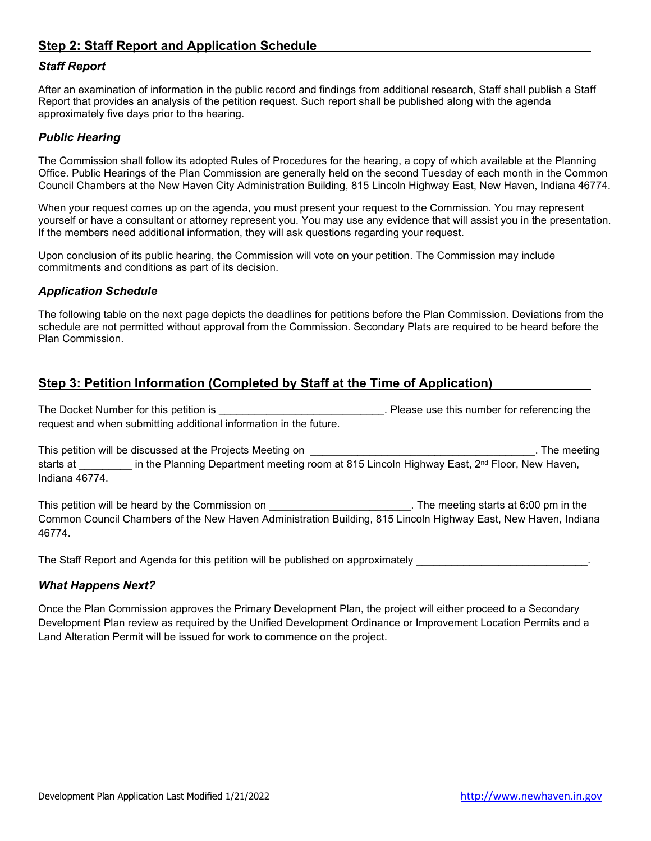### **Step 2: Staff Report and Application Schedule**

### *Staff Report*

After an examination of information in the public record and findings from additional research, Staff shall publish a Staff Report that provides an analysis of the petition request. Such report shall be published along with the agenda approximately five days prior to the hearing.

#### *Public Hearing*

The Commission shall follow its adopted Rules of Procedures for the hearing, a copy of which available at the Planning Office. Public Hearings of the Plan Commission are generally held on the second Tuesday of each month in the Common Council Chambers at the New Haven City Administration Building, 815 Lincoln Highway East, New Haven, Indiana 46774.

When your request comes up on the agenda, you must present your request to the Commission. You may represent yourself or have a consultant or attorney represent you. You may use any evidence that will assist you in the presentation. If the members need additional information, they will ask questions regarding your request.

Upon conclusion of its public hearing, the Commission will vote on your petition. The Commission may include commitments and conditions as part of its decision.

### *Application Schedule*

The following table on the next page depicts the deadlines for petitions before the Plan Commission. Deviations from the schedule are not permitted without approval from the Commission. Secondary Plats are required to be heard before the Plan Commission.

### **Step 3: Petition Information (Completed by Staff at the Time of Application)**

The Docket Number for this petition is \_\_\_\_\_\_\_\_\_\_\_\_\_\_\_\_\_\_\_\_\_\_\_\_\_\_\_\_. Please use this number for referencing the request and when submitting additional information in the future.

This petition will be discussed at the Projects Meeting on **will be a setting on** The meeting starts at \_\_\_\_\_\_\_\_\_ in the Planning Department meeting room at 815 Lincoln Highway East, 2<sup>nd</sup> Floor, New Haven, Indiana 46774.

This petition will be heard by the Commission on \_\_\_\_\_\_\_\_\_\_\_\_\_\_\_\_\_\_\_\_\_\_\_\_\_\_\_. The meeting starts at 6:00 pm in the Common Council Chambers of the New Haven Administration Building, 815 Lincoln Highway East, New Haven, Indiana 46774.

The Staff Report and Agenda for this petition will be published on approximately

#### *What Happens Next?*

Once the Plan Commission approves the Primary Development Plan, the project will either proceed to a Secondary Development Plan review as required by the Unified Development Ordinance or Improvement Location Permits and a Land Alteration Permit will be issued for work to commence on the project.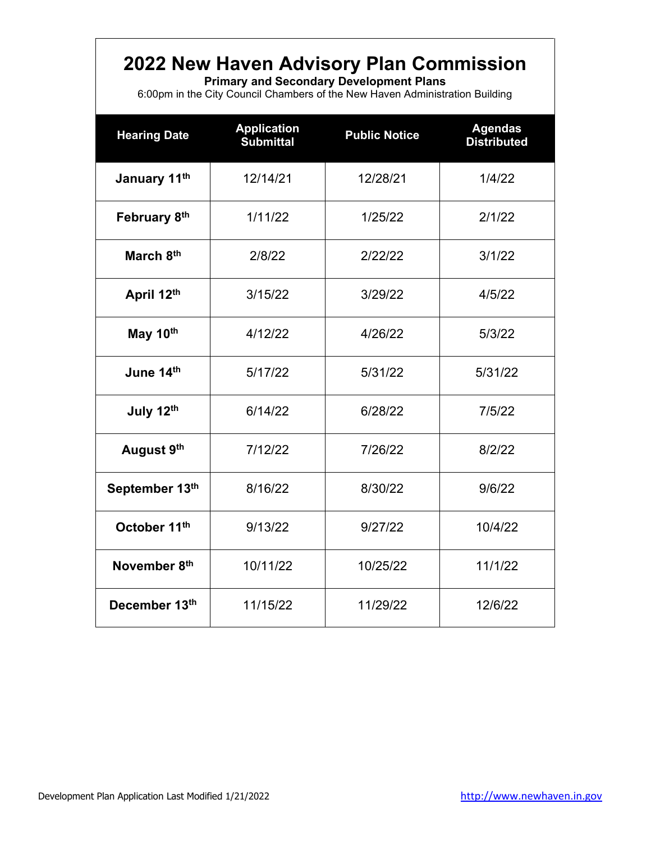# **2022 New Haven Advisory Plan Commission**

**Primary and Secondary Development Plans**

6:00pm in the City Council Chambers of the New Haven Administration Building

| <b>Hearing Date</b> | <b>Application</b><br><b>Submittal</b> | <b>Public Notice</b> | <b>Agendas</b><br><b>Distributed</b> |
|---------------------|----------------------------------------|----------------------|--------------------------------------|
| January 11th        | 12/14/21                               | 12/28/21             | 1/4/22                               |
| February 8th        | 1/11/22                                | 1/25/22              | 2/1/22                               |
| March 8th           | 2/8/22                                 | 2/22/22              | 3/1/22                               |
| April 12th          | 3/15/22                                | 3/29/22              | 4/5/22                               |
| May 10th            | 4/12/22                                | 4/26/22              | 5/3/22                               |
| June 14th           | 5/17/22                                | 5/31/22              | 5/31/22                              |
| July 12th           | 6/14/22                                | 6/28/22              | 7/5/22                               |
| August 9th          | 7/12/22                                | 7/26/22              | 8/2/22                               |
| September 13th      | 8/16/22                                | 8/30/22              | 9/6/22                               |
| October 11th        | 9/13/22                                | 9/27/22              | 10/4/22                              |
| November 8th        | 10/11/22                               | 10/25/22             | 11/1/22                              |
| December 13th       | 11/15/22                               | 11/29/22             | 12/6/22                              |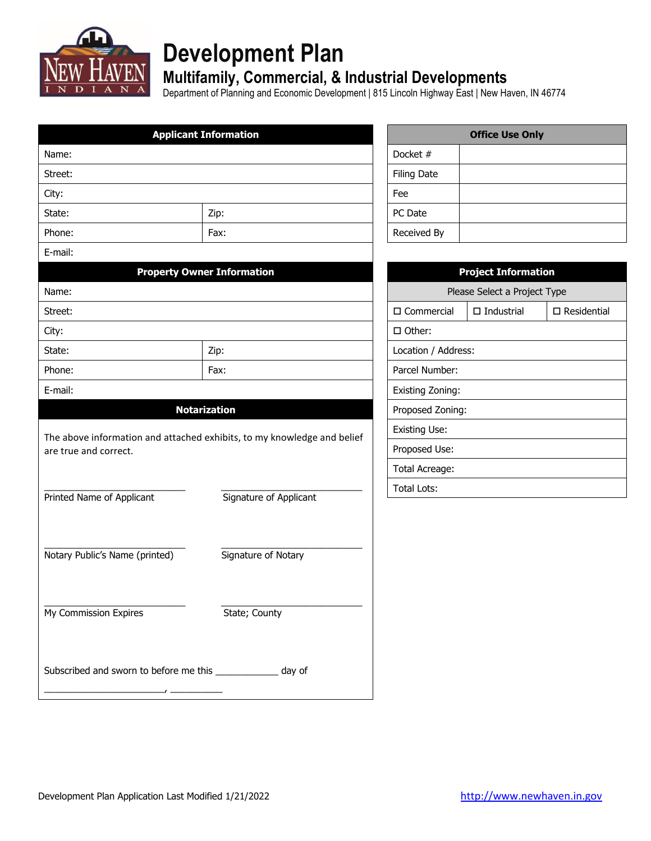

# **Development Plan**

## **Multifamily, Commercial, & Industrial Developments**

Department of Planning and Economic Development | 815 Lincoln Highway East | New Haven, IN 46774

|                                                                                                  | <b>Applicant Information</b>      |                      |                    | <b>Office Use Only</b>       |                       |
|--------------------------------------------------------------------------------------------------|-----------------------------------|----------------------|--------------------|------------------------------|-----------------------|
| Name:                                                                                            |                                   | Docket #             |                    |                              |                       |
| Street:                                                                                          |                                   |                      | <b>Filing Date</b> |                              |                       |
| City:                                                                                            |                                   | Fee                  |                    |                              |                       |
| State:                                                                                           | Zip:                              | PC Date              |                    |                              |                       |
| Phone:                                                                                           | Fax:                              | Received By          |                    |                              |                       |
| E-mail:                                                                                          |                                   |                      |                    |                              |                       |
|                                                                                                  | <b>Property Owner Information</b> |                      |                    | <b>Project Information</b>   |                       |
| Name:                                                                                            |                                   |                      |                    | Please Select a Project Type |                       |
| Street:                                                                                          |                                   | $\square$ Commercial |                    | $\Box$ Industrial            | $\square$ Residential |
| City:                                                                                            |                                   | □ Other:             |                    |                              |                       |
| State:                                                                                           | Zip:                              | Location / Address:  |                    |                              |                       |
| Phone:                                                                                           | Fax:                              | Parcel Number:       |                    |                              |                       |
| E-mail:                                                                                          |                                   | Existing Zoning:     |                    |                              |                       |
|                                                                                                  | <b>Notarization</b>               | Proposed Zoning:     |                    |                              |                       |
|                                                                                                  |                                   | <b>Existing Use:</b> |                    |                              |                       |
| The above information and attached exhibits, to my knowledge and belief<br>are true and correct. |                                   | Proposed Use:        |                    |                              |                       |
|                                                                                                  |                                   | Total Acreage:       |                    |                              |                       |
|                                                                                                  |                                   | <b>Total Lots:</b>   |                    |                              |                       |
| Printed Name of Applicant                                                                        | Signature of Applicant            |                      |                    |                              |                       |
|                                                                                                  |                                   |                      |                    |                              |                       |
|                                                                                                  |                                   |                      |                    |                              |                       |
| Notary Public's Name (printed)                                                                   | Signature of Notary               |                      |                    |                              |                       |
|                                                                                                  |                                   |                      |                    |                              |                       |
|                                                                                                  |                                   |                      |                    |                              |                       |
| My Commission Expires                                                                            | State; County                     |                      |                    |                              |                       |
|                                                                                                  |                                   |                      |                    |                              |                       |
|                                                                                                  |                                   |                      |                    |                              |                       |
| Subscribed and sworn to before me this ______________ day of                                     |                                   |                      |                    |                              |                       |
|                                                                                                  |                                   |                      |                    |                              |                       |

| <b>Office Use Only</b> |  |  |
|------------------------|--|--|
| Docket #               |  |  |
| <b>Filing Date</b>     |  |  |
| Fee                    |  |  |
| PC Date                |  |  |
| Received By            |  |  |

| <b>Project Information</b>   |                      |               |  |  |
|------------------------------|----------------------|---------------|--|--|
| Please Select a Project Type |                      |               |  |  |
| □ Commercial                 | $\square$ Industrial | □ Residential |  |  |
| □ Other:                     |                      |               |  |  |
| Location / Address:          |                      |               |  |  |
| Parcel Number:               |                      |               |  |  |
| Existing Zoning:             |                      |               |  |  |
| Proposed Zoning:             |                      |               |  |  |
| Existing Use:                |                      |               |  |  |
| Proposed Use:                |                      |               |  |  |
| Total Acreage:               |                      |               |  |  |
| Total Lots:                  |                      |               |  |  |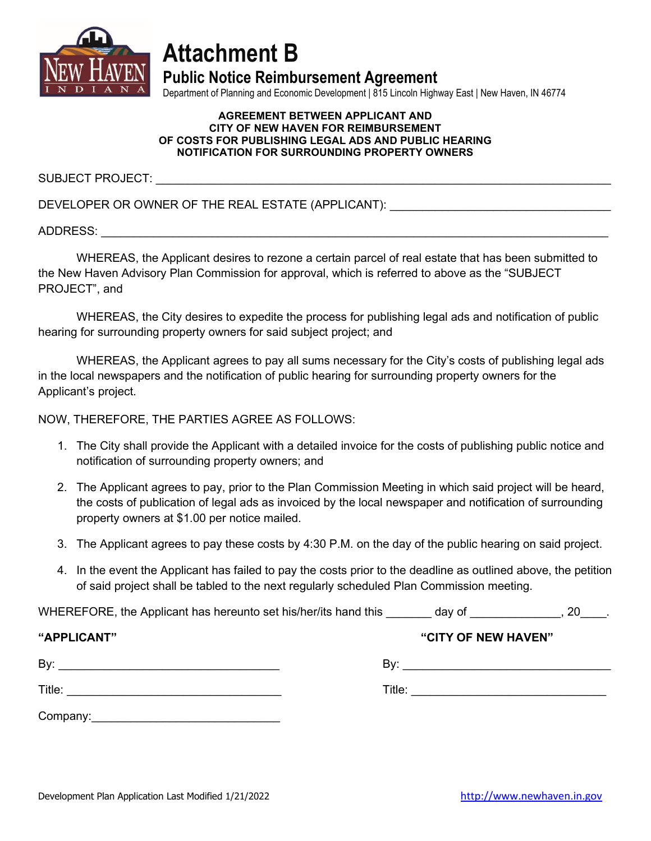

# **Attachment B**

**Public Notice Reimbursement Agreement**

Department of Planning and Economic Development | 815 Lincoln Highway East | New Haven, IN 46774

#### **AGREEMENT BETWEEN APPLICANT AND CITY OF NEW HAVEN FOR REIMBURSEMENT OF COSTS FOR PUBLISHING LEGAL ADS AND PUBLIC HEARING NOTIFICATION FOR SURROUNDING PROPERTY OWNERS**

SUBJECT PROJECT:

DEVELOPER OR OWNER OF THE REAL ESTATE (APPLICANT):

ADDRESS: \_\_\_\_\_\_\_\_\_\_\_\_\_\_\_\_\_\_\_\_\_\_\_\_\_\_\_\_\_\_\_\_\_\_\_\_\_\_\_\_\_\_\_\_\_\_\_\_\_\_\_\_\_\_\_\_\_\_\_\_\_\_\_\_\_\_\_\_\_\_\_\_\_\_\_\_\_\_

WHEREAS, the Applicant desires to rezone a certain parcel of real estate that has been submitted to the New Haven Advisory Plan Commission for approval, which is referred to above as the "SUBJECT PROJECT", and

WHEREAS, the City desires to expedite the process for publishing legal ads and notification of public hearing for surrounding property owners for said subject project; and

WHEREAS, the Applicant agrees to pay all sums necessary for the City's costs of publishing legal ads in the local newspapers and the notification of public hearing for surrounding property owners for the Applicant's project.

NOW, THEREFORE, THE PARTIES AGREE AS FOLLOWS:

- 1. The City shall provide the Applicant with a detailed invoice for the costs of publishing public notice and notification of surrounding property owners; and
- 2. The Applicant agrees to pay, prior to the Plan Commission Meeting in which said project will be heard, the costs of publication of legal ads as invoiced by the local newspaper and notification of surrounding property owners at \$1.00 per notice mailed.
- 3. The Applicant agrees to pay these costs by 4:30 P.M. on the day of the public hearing on said project.
- 4. In the event the Applicant has failed to pay the costs prior to the deadline as outlined above, the petition of said project shall be tabled to the next regularly scheduled Plan Commission meeting.

WHEREFORE, the Applicant has hereunto set his/her/its hand this day of the same set of the set of the set of the set of the set of the set of the set of the set of the set of the set of the set of the set of the set of the

| "APPLICANT" | "CITY OF NEW HAVEN" |
|-------------|---------------------|
| By:         | By:                 |
| Title:      | Title:              |
| Company:    |                     |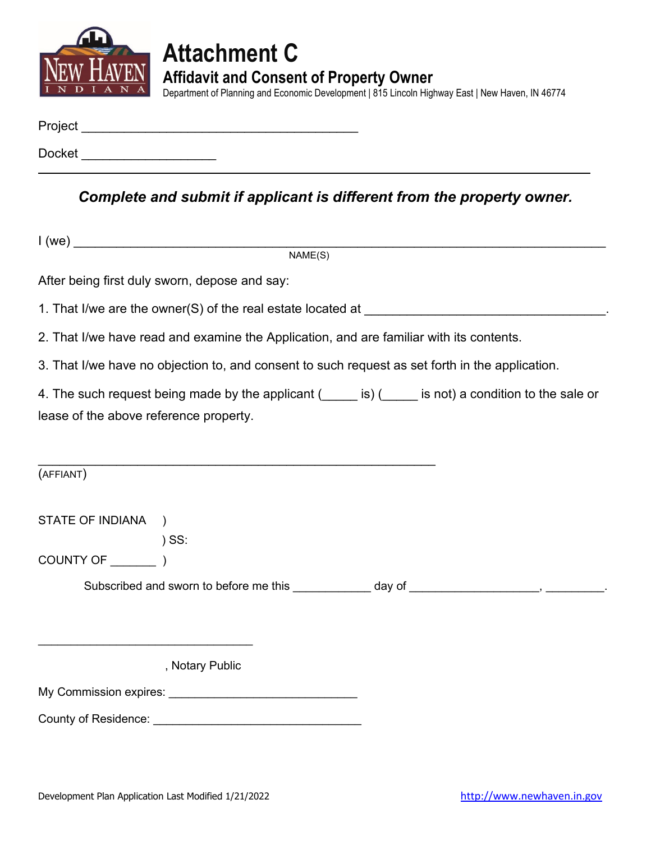

# **Attachment C Affidavit and Consent of Property Owner**

Department of Planning and Economic Development | 815 Lincoln Highway East | New Haven, IN 46774

| Project       |  |  |  |
|---------------|--|--|--|
| <b>Docket</b> |  |  |  |

*Complete and submit if applicant is different from the property owner.*

|                                        | NAME(S)                                                                                         |                                                                                                        |
|----------------------------------------|-------------------------------------------------------------------------------------------------|--------------------------------------------------------------------------------------------------------|
|                                        | After being first duly sworn, depose and say:                                                   |                                                                                                        |
|                                        |                                                                                                 |                                                                                                        |
|                                        | 2. That I/we have read and examine the Application, and are familiar with its contents.         |                                                                                                        |
|                                        | 3. That I/we have no objection to, and consent to such request as set forth in the application. |                                                                                                        |
|                                        |                                                                                                 | 4. The such request being made by the applicant (incore is) (incore is not) a condition to the sale or |
| lease of the above reference property. |                                                                                                 |                                                                                                        |
|                                        |                                                                                                 |                                                                                                        |
| (AFFIANT)                              |                                                                                                 |                                                                                                        |
| STATE OF INDIANA )                     |                                                                                                 |                                                                                                        |
|                                        | $)$ SS:                                                                                         |                                                                                                        |
|                                        |                                                                                                 |                                                                                                        |
|                                        |                                                                                                 | Subscribed and sworn to before me this ____________ day of _____________________, __________.          |
|                                        |                                                                                                 |                                                                                                        |
|                                        |                                                                                                 |                                                                                                        |
|                                        | , Notary Public                                                                                 |                                                                                                        |
|                                        |                                                                                                 |                                                                                                        |
|                                        |                                                                                                 |                                                                                                        |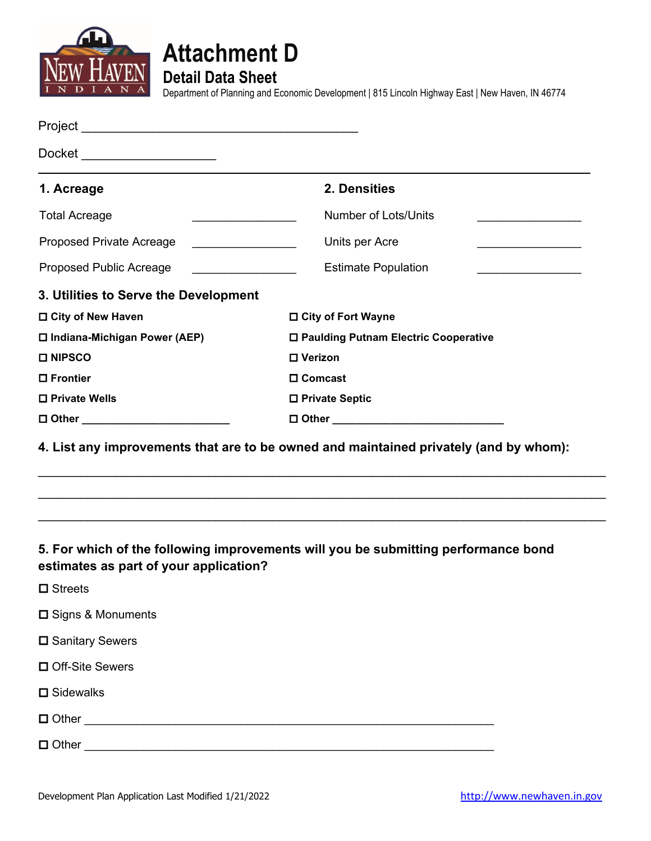



**Detail Data Sheet**

Department of Planning and Economic Development | 815 Lincoln Highway East | New Haven, IN 46774

| Docket ______________________                                      |                                                                                       |
|--------------------------------------------------------------------|---------------------------------------------------------------------------------------|
| 1. Acreage                                                         | 2. Densities                                                                          |
| <b>Total Acreage</b>                                               | <b>Number of Lots/Units</b>                                                           |
| Proposed Private Acreage                                           | Units per Acre                                                                        |
| Proposed Public Acreage<br><u> 1990 - Johann Barbara, martin a</u> | <b>Estimate Population</b>                                                            |
| 3. Utilities to Serve the Development                              |                                                                                       |
| □ City of New Haven                                                | □ City of Fort Wayne                                                                  |
| □ Indiana-Michigan Power (AEP)                                     | □ Paulding Putnam Electric Cooperative                                                |
| <b>□ NIPSCO</b>                                                    | □ Verizon                                                                             |
| □ Frontier                                                         | □ Comcast                                                                             |
| □ Private Wells                                                    | □ Private Septic                                                                      |
| □ Other __________________________                                 |                                                                                       |
|                                                                    | 4. List any improvements that are to be owned and maintained privately (and by whom): |
| estimates as part of your application?                             | 5. For which of the following improvements will you be submitting performance bond    |
| $\square$ Streets                                                  |                                                                                       |
| □ Signs & Monuments                                                |                                                                                       |
| □ Sanitary Sewers                                                  |                                                                                       |
| □ Off-Site Sewers                                                  |                                                                                       |

**□** Sidewalks

Other \_\_\_\_\_\_\_\_\_\_\_\_\_\_\_\_\_\_\_\_\_\_\_\_\_\_\_\_\_\_\_\_\_\_\_\_\_\_\_\_\_\_\_\_\_\_\_\_\_\_\_\_\_\_\_\_\_\_\_\_\_\_\_

Other \_\_\_\_\_\_\_\_\_\_\_\_\_\_\_\_\_\_\_\_\_\_\_\_\_\_\_\_\_\_\_\_\_\_\_\_\_\_\_\_\_\_\_\_\_\_\_\_\_\_\_\_\_\_\_\_\_\_\_\_\_\_\_